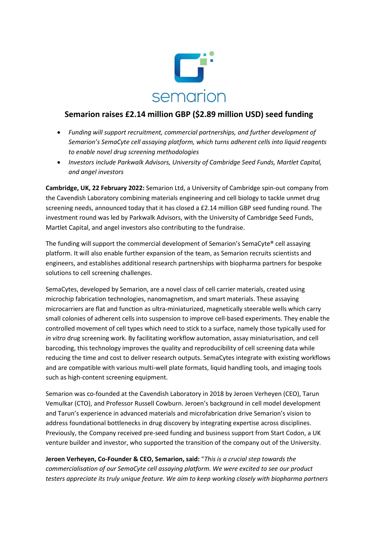

# **Semarion raises £2.14 million GBP (\$2.89 million USD) seed funding**

- *Funding will support recruitment, commercial partnerships, and further development of Semarion's SemaCyte cell assaying platform, which turns adherent cells into liquid reagents to enable novel drug screening methodologies*
- *Investors include Parkwalk Advisors, University of Cambridge Seed Funds, Martlet Capital, and angel investors*

**Cambridge, UK, 22 February 2022:** Semarion Ltd, a University of Cambridge spin-out company from the Cavendish Laboratory combining materials engineering and cell biology to tackle unmet drug screening needs, announced today that it has closed a £2.14 million GBP seed funding round. The investment round was led by Parkwalk Advisors, with the University of Cambridge Seed Funds, Martlet Capital, and angel investors also contributing to the fundraise.

The funding will support the commercial development of Semarion's SemaCyte® cell assaying platform. It will also enable further expansion of the team, as Semarion recruits scientists and engineers, and establishes additional research partnerships with biopharma partners for bespoke solutions to cell screening challenges.

SemaCytes, developed by Semarion, are a novel class of cell carrier materials, created using microchip fabrication technologies, nanomagnetism, and smart materials. These assaying microcarriers are flat and function as ultra-miniaturized, magnetically steerable wells which carry small colonies of adherent cells into suspension to improve cell-based experiments. They enable the controlled movement of cell types which need to stick to a surface, namely those typically used for *in vitro* drug screening work. By facilitating workflow automation, assay miniaturisation, and cell barcoding, this technology improves the quality and reproducibility of cell screening data while reducing the time and cost to deliver research outputs. SemaCytes integrate with existing workflows and are compatible with various multi-well plate formats, liquid handling tools, and imaging tools such as high-content screening equipment.

Semarion was co-founded at the Cavendish Laboratory in 2018 by Jeroen Verheyen (CEO), Tarun Vemulkar (CTO), and Professor Russell Cowburn. Jeroen's background in cell model development and Tarun's experience in advanced materials and microfabrication drive Semarion's vision to address foundational bottlenecks in drug discovery by integrating expertise across disciplines. Previously, the Company received pre-seed funding and business support from Start Codon, a UK venture builder and investor, who supported the transition of the company out of the University.

**Jeroen Verheyen, Co-Founder & CEO, Semarion, said:** "*This is a crucial step towards the commercialisation of our SemaCyte cell assaying platform. We were excited to see our product testers appreciate its truly unique feature. We aim to keep working closely with biopharma partners*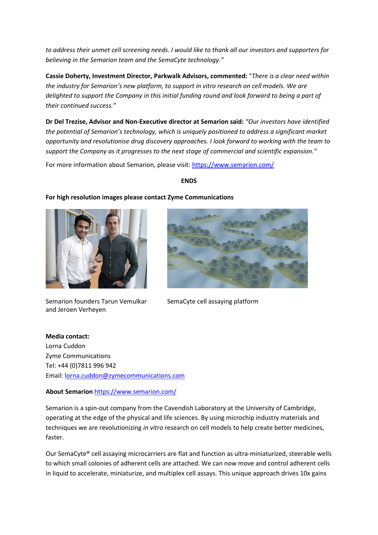*to address their unmet cell screening needs. I would like to thank all our investors and supporters for believing in the Semarion team and the SemaCyte technology."*

**Cassie Doherty, Investment Director, Parkwalk Advisors, commented:** "*There is a clear need within the industry for Semarion's new platform, to support in vitro research on cell models. We are delighted to support the Company in this initial funding round and look forward to being a part of their continued success."*

**Dr Del Trezise, Advisor and Non-Executive director at Semarion said:** *"Our investors have identified the potential of Semarion's technology, which is uniquely positioned to address a significant market opportunity and revolutionise drug discovery approaches. I look forward to working with the team to support the Company as it progresses to the next stage of commercial and scientific expansion."*

For more information about Semarion, please visit:<https://www.semarion.com/>

**For high resolution images please contact Zyme Communications**

#### **ENDS**



Semarion founders Tarun Vemulkar and Jeroen Verheyen



SemaCyte cell assaying platform

**Media contact:**  Lorna Cuddon Zyme Communications Tel: +44 (0)7811 996 942 Email: [lorna.cuddon@zymecommunications.com](mailto:lorna.cuddon@zymecommunications.com)

# **About Semarion** <https://www.semarion.com/>

Semarion is a spin-out company from the Cavendish Laboratory at the University of Cambridge, operating at the edge of the physical and life sciences. By using microchip industry materials and techniques we are revolutionizing *in vitro* research on cell models to help create better medicines, faster.

Our SemaCyte® cell assaying microcarriers are flat and function as ultra-miniaturized, steerable wells to which small colonies of adherent cells are attached. We can now move and control adherent cells in liquid to accelerate, miniaturize, and multiplex cell assays. This unique approach drives 10x gains